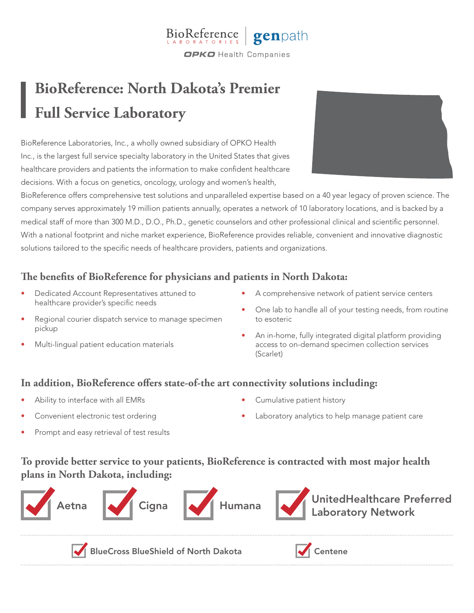

## **BioReference: North Dakota's Premier Full Service Laboratory**

BioReference Laboratories, Inc., a wholly owned subsidiary of OPKO Health Inc., is the largest full service specialty laboratory in the United States that gives healthcare providers and patients the information to make confident healthcare decisions. With a focus on genetics, oncology, urology and women's health,



BioReference offers comprehensive test solutions and unparalleled expertise based on a 40 year legacy of proven science. The company serves approximately 19 million patients annually, operates a network of 10 laboratory locations, and is backed by a medical staff of more than 300 M.D., D.O., Ph.D., genetic counselors and other professional clinical and scientific personnel. With a national footprint and niche market experience, BioReference provides reliable, convenient and innovative diagnostic solutions tailored to the specific needs of healthcare providers, patients and organizations.

## **The benefits of BioReference for physicians and patients in North Dakota:**

- Dedicated Account Representatives attuned to healthcare provider's specific needs
- Regional courier dispatch service to manage specimen pickup
- Multi-lingual patient education materials
- A comprehensive network of patient service centers
- One lab to handle all of your testing needs, from routine to esoteric
- An in-home, fully integrated digital platform providing access to on-demand specimen collection services (Scarlet)

## **In addition, BioReference offers state-of-the art connectivity solutions including:**

- Ability to interface with all EMRs
- Convenient electronic test ordering
- Cumulative patient history
- Laboratory analytics to help manage patient care

Prompt and easy retrieval of test results

**To provide better service to your patients, BioReference is contracted with most major health plans in North Dakota, including:**